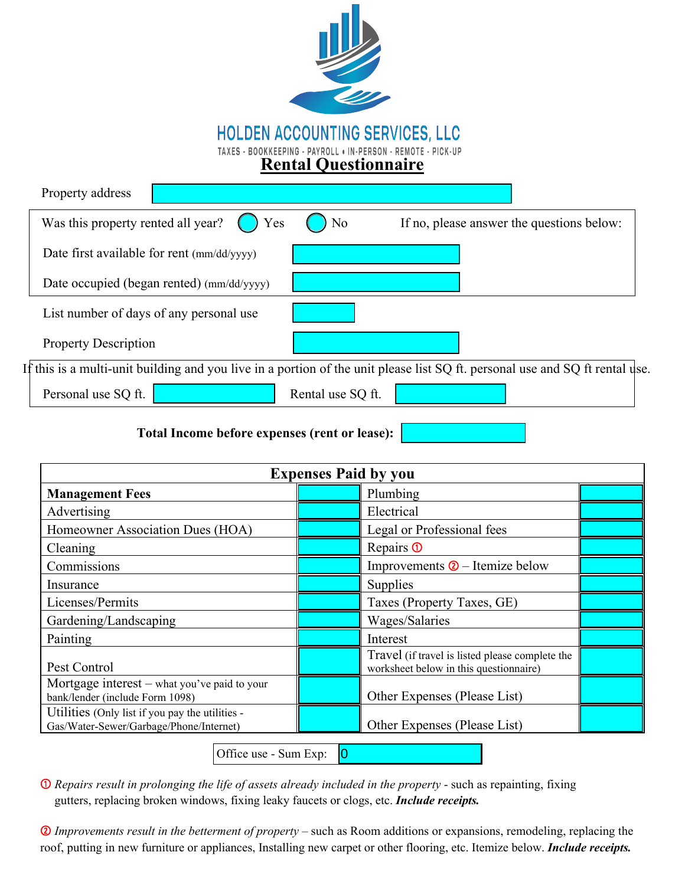

| Property address                                                                                                             |
|------------------------------------------------------------------------------------------------------------------------------|
| $\bigcirc$ Yes<br>Was this property rented all year?<br>N <sub>o</sub><br>If no, please answer the questions below:          |
| Date first available for rent (mm/dd/yyyy)                                                                                   |
| Date occupied (began rented) (mm/dd/yyyy)                                                                                    |
| List number of days of any personal use                                                                                      |
| <b>Property Description</b>                                                                                                  |
| If this is a multi-unit building and you live in a portion of the unit please list SQ ft. personal use and SQ ft rental use. |
| Personal use SQ ft.<br>Rental use SQ ft.                                                                                     |

**Total Income before expenses (rent or lease):**

| <b>Expenses Paid by you</b>                                                                |  |                                                                                           |  |
|--------------------------------------------------------------------------------------------|--|-------------------------------------------------------------------------------------------|--|
| <b>Management Fees</b>                                                                     |  | Plumbing                                                                                  |  |
| Advertising                                                                                |  | Electrical                                                                                |  |
| Homeowner Association Dues (HOA)                                                           |  | Legal or Professional fees                                                                |  |
| Cleaning                                                                                   |  | Repairs <b>①</b>                                                                          |  |
| Commissions                                                                                |  | Improvements $\circled{2}$ – Itemize below                                                |  |
| Insurance                                                                                  |  | Supplies                                                                                  |  |
| Licenses/Permits                                                                           |  | Taxes (Property Taxes, GE)                                                                |  |
| Gardening/Landscaping                                                                      |  | Wages/Salaries                                                                            |  |
| Painting                                                                                   |  | Interest                                                                                  |  |
| Pest Control                                                                               |  | Travel (if travel is listed please complete the<br>worksheet below in this questionnaire) |  |
| Mortgage interest – what you've paid to your<br>bank/lender (include Form 1098)            |  | Other Expenses (Please List)                                                              |  |
| Utilities (Only list if you pay the utilities -<br>Gas/Water-Sewer/Garbage/Phone/Internet) |  | Other Expenses (Please List)                                                              |  |

Office use - Sum Exp:  $|0|$ 

➀ *Repairs result in prolonging the life of assets already included in the property* - such as repainting, fixing ➀ gutters, replacing broken windows, fixing leaky faucets or clogs, etc. *Include receipts.*

➁ *Improvements result in the betterment of property* – such as Room additions or expansions, remodeling, replacing the roof, putting in new furniture or appliances, Installing new carpet or other flooring, etc. Itemize below. *Include receipts.*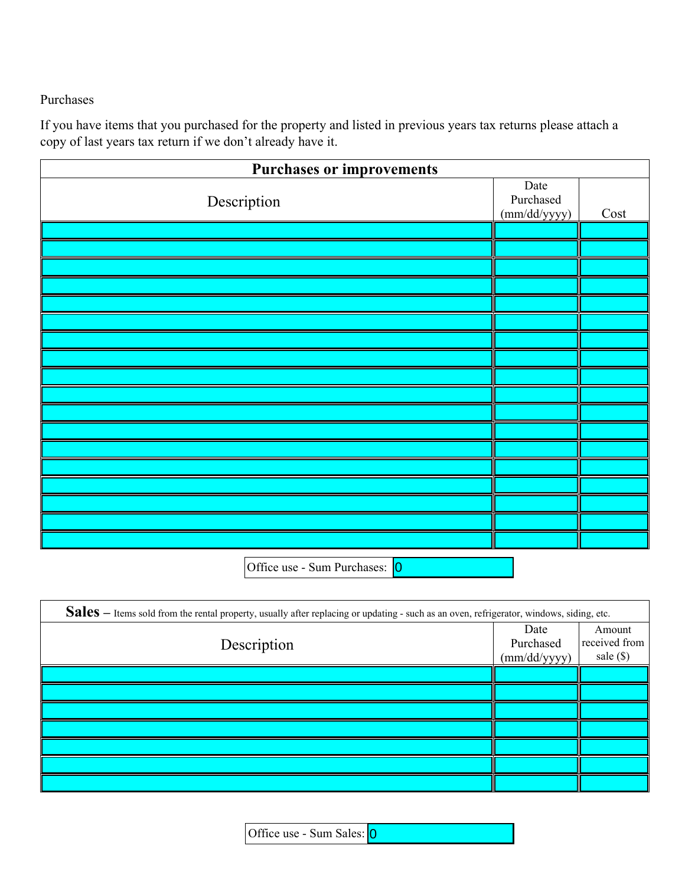## Purchases

If you have items that you purchased for the property and listed in previous years tax returns please attach a copy of last years tax return if we don't already have it.

| <b>Purchases or improvements</b> |                                   |      |  |
|----------------------------------|-----------------------------------|------|--|
| Description                      | Date<br>Purchased<br>(mm/dd/yyyy) | Cost |  |
|                                  |                                   |      |  |
|                                  |                                   |      |  |
|                                  |                                   |      |  |
|                                  |                                   |      |  |
|                                  |                                   |      |  |
|                                  |                                   |      |  |
|                                  |                                   |      |  |
|                                  |                                   |      |  |
|                                  |                                   |      |  |
|                                  |                                   |      |  |
|                                  |                                   |      |  |
|                                  |                                   |      |  |
|                                  |                                   |      |  |
|                                  |                                   |      |  |
|                                  |                                   |      |  |
|                                  |                                   |      |  |
|                                  |                                   |      |  |
|                                  |                                   |      |  |
| Office use - Sum Purchases: 0    |                                   |      |  |

| Sales - Items sold from the rental property, usually after replacing or updating - such as an oven, refrigerator, windows, siding, etc. |                                   |                                        |
|-----------------------------------------------------------------------------------------------------------------------------------------|-----------------------------------|----------------------------------------|
| Description                                                                                                                             | Date<br>Purchased<br>(mm/dd/yyyy) | Amount<br>received from<br>sale $(\$)$ |
|                                                                                                                                         |                                   |                                        |
|                                                                                                                                         |                                   |                                        |
|                                                                                                                                         |                                   |                                        |
|                                                                                                                                         |                                   |                                        |
|                                                                                                                                         |                                   |                                        |
|                                                                                                                                         |                                   |                                        |
|                                                                                                                                         |                                   |                                        |

Office use - Sum Sales: 0